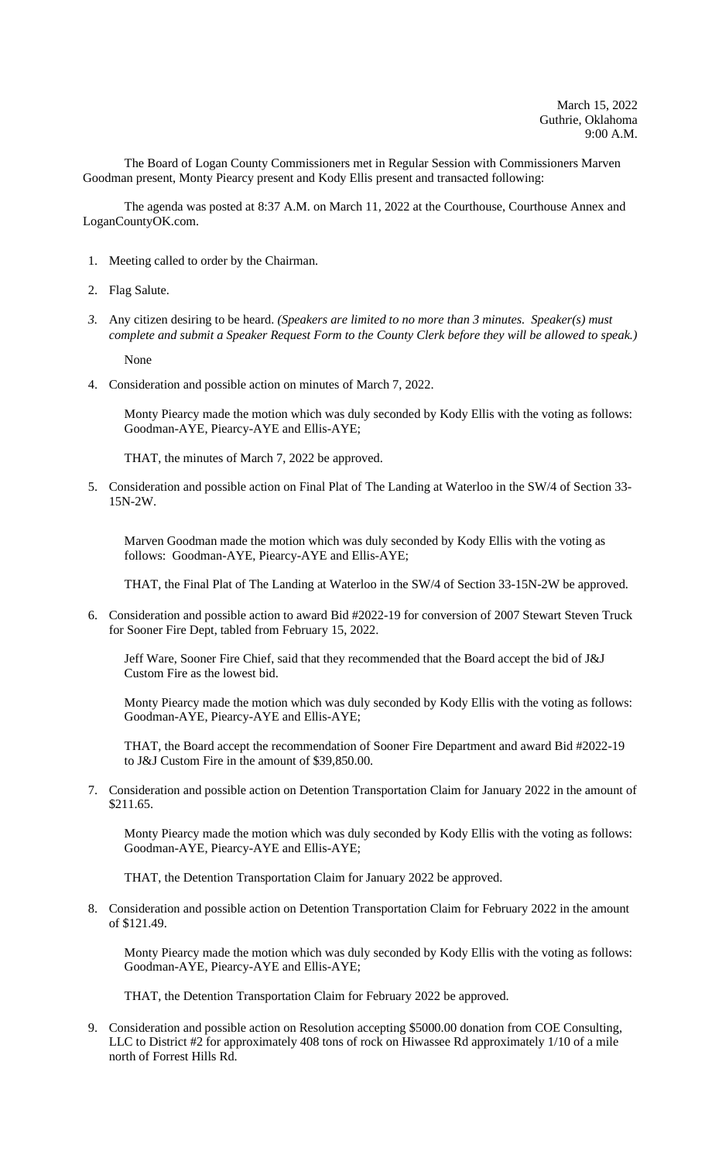The Board of Logan County Commissioners met in Regular Session with Commissioners Marven Goodman present, Monty Piearcy present and Kody Ellis present and transacted following:

The agenda was posted at 8:37 A.M. on March 11, 2022 at the Courthouse, Courthouse Annex and LoganCountyOK.com.

- 1. Meeting called to order by the Chairman.
- 2. Flag Salute.
- *3.* Any citizen desiring to be heard. *(Speakers are limited to no more than 3 minutes. Speaker(s) must complete and submit a Speaker Request Form to the County Clerk before they will be allowed to speak.)*

None

4. Consideration and possible action on minutes of March 7, 2022.

Monty Piearcy made the motion which was duly seconded by Kody Ellis with the voting as follows: Goodman-AYE, Piearcy-AYE and Ellis-AYE;

THAT, the minutes of March 7, 2022 be approved.

5. Consideration and possible action on Final Plat of The Landing at Waterloo in the SW/4 of Section 33- 15N-2W.

Marven Goodman made the motion which was duly seconded by Kody Ellis with the voting as follows: Goodman-AYE, Piearcy-AYE and Ellis-AYE;

THAT, the Final Plat of The Landing at Waterloo in the SW/4 of Section 33-15N-2W be approved.

6. Consideration and possible action to award Bid #2022-19 for conversion of 2007 Stewart Steven Truck for Sooner Fire Dept, tabled from February 15, 2022.

Jeff Ware, Sooner Fire Chief, said that they recommended that the Board accept the bid of J&J Custom Fire as the lowest bid.

Monty Piearcy made the motion which was duly seconded by Kody Ellis with the voting as follows: Goodman-AYE, Piearcy-AYE and Ellis-AYE;

THAT, the Board accept the recommendation of Sooner Fire Department and award Bid #2022-19 to J&J Custom Fire in the amount of \$39,850.00.

7. Consideration and possible action on Detention Transportation Claim for January 2022 in the amount of \$211.65.

Monty Piearcy made the motion which was duly seconded by Kody Ellis with the voting as follows: Goodman-AYE, Piearcy-AYE and Ellis-AYE;

THAT, the Detention Transportation Claim for January 2022 be approved.

8. Consideration and possible action on Detention Transportation Claim for February 2022 in the amount of \$121.49.

Monty Piearcy made the motion which was duly seconded by Kody Ellis with the voting as follows: Goodman-AYE, Piearcy-AYE and Ellis-AYE;

THAT, the Detention Transportation Claim for February 2022 be approved.

9. Consideration and possible action on Resolution accepting \$5000.00 donation from COE Consulting, LLC to District #2 for approximately 408 tons of rock on Hiwassee Rd approximately 1/10 of a mile north of Forrest Hills Rd.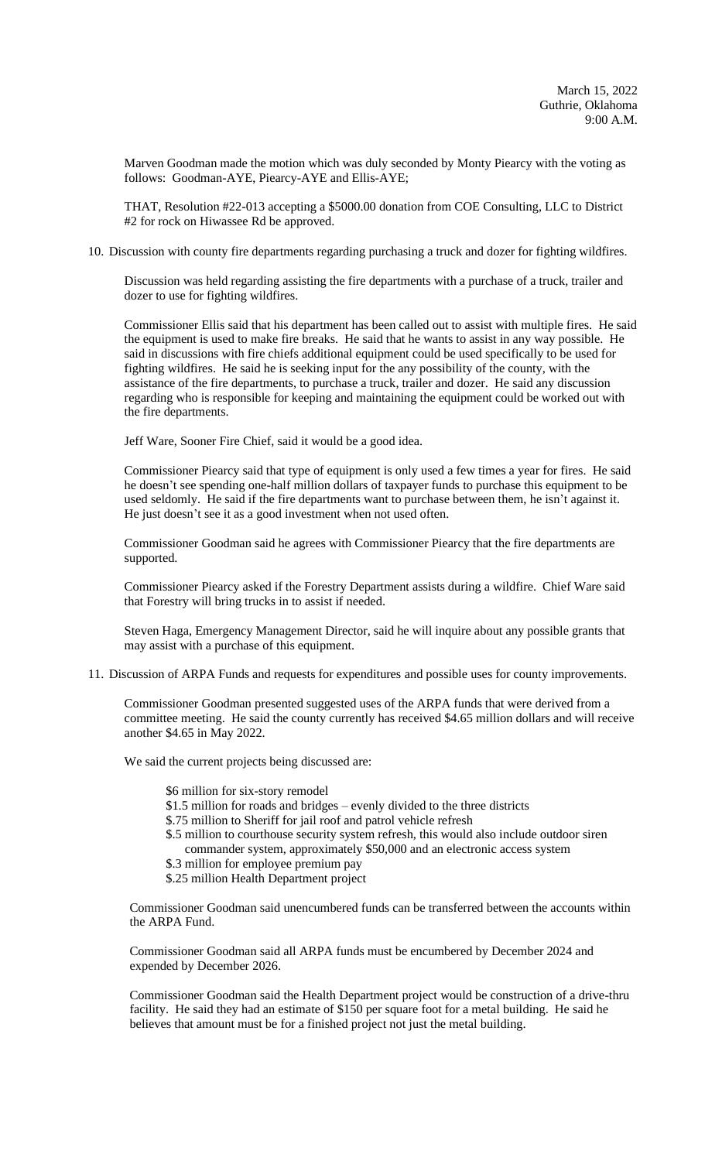Marven Goodman made the motion which was duly seconded by Monty Piearcy with the voting as follows: Goodman-AYE, Piearcy-AYE and Ellis-AYE;

THAT, Resolution #22-013 accepting a \$5000.00 donation from COE Consulting, LLC to District #2 for rock on Hiwassee Rd be approved.

10. Discussion with county fire departments regarding purchasing a truck and dozer for fighting wildfires.

Discussion was held regarding assisting the fire departments with a purchase of a truck, trailer and dozer to use for fighting wildfires.

Commissioner Ellis said that his department has been called out to assist with multiple fires. He said the equipment is used to make fire breaks. He said that he wants to assist in any way possible. He said in discussions with fire chiefs additional equipment could be used specifically to be used for fighting wildfires. He said he is seeking input for the any possibility of the county, with the assistance of the fire departments, to purchase a truck, trailer and dozer. He said any discussion regarding who is responsible for keeping and maintaining the equipment could be worked out with the fire departments.

Jeff Ware, Sooner Fire Chief, said it would be a good idea.

Commissioner Piearcy said that type of equipment is only used a few times a year for fires. He said he doesn't see spending one-half million dollars of taxpayer funds to purchase this equipment to be used seldomly. He said if the fire departments want to purchase between them, he isn't against it. He just doesn't see it as a good investment when not used often.

Commissioner Goodman said he agrees with Commissioner Piearcy that the fire departments are supported.

Commissioner Piearcy asked if the Forestry Department assists during a wildfire. Chief Ware said that Forestry will bring trucks in to assist if needed.

Steven Haga, Emergency Management Director, said he will inquire about any possible grants that may assist with a purchase of this equipment.

11. Discussion of ARPA Funds and requests for expenditures and possible uses for county improvements.

Commissioner Goodman presented suggested uses of the ARPA funds that were derived from a committee meeting. He said the county currently has received \$4.65 million dollars and will receive another \$4.65 in May 2022.

We said the current projects being discussed are:

- \$6 million for six-story remodel
- \$1.5 million for roads and bridges evenly divided to the three districts
- \$.75 million to Sheriff for jail roof and patrol vehicle refresh
- \$.5 million to courthouse security system refresh, this would also include outdoor siren commander system, approximately \$50,000 and an electronic access system
- \$.3 million for employee premium pay
- \$.25 million Health Department project

Commissioner Goodman said unencumbered funds can be transferred between the accounts within the ARPA Fund.

Commissioner Goodman said all ARPA funds must be encumbered by December 2024 and expended by December 2026.

Commissioner Goodman said the Health Department project would be construction of a drive-thru facility. He said they had an estimate of \$150 per square foot for a metal building. He said he believes that amount must be for a finished project not just the metal building.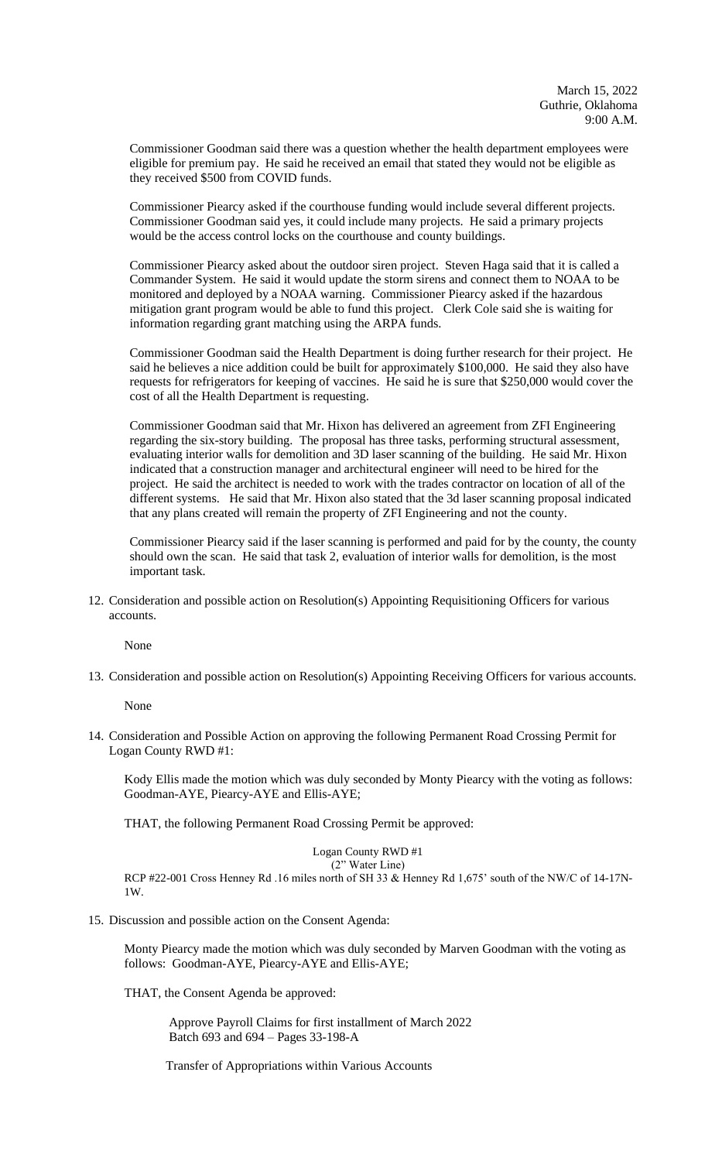Commissioner Goodman said there was a question whether the health department employees were eligible for premium pay. He said he received an email that stated they would not be eligible as they received \$500 from COVID funds.

Commissioner Piearcy asked if the courthouse funding would include several different projects. Commissioner Goodman said yes, it could include many projects. He said a primary projects would be the access control locks on the courthouse and county buildings.

Commissioner Piearcy asked about the outdoor siren project. Steven Haga said that it is called a Commander System. He said it would update the storm sirens and connect them to NOAA to be monitored and deployed by a NOAA warning. Commissioner Piearcy asked if the hazardous mitigation grant program would be able to fund this project. Clerk Cole said she is waiting for information regarding grant matching using the ARPA funds.

Commissioner Goodman said the Health Department is doing further research for their project. He said he believes a nice addition could be built for approximately \$100,000. He said they also have requests for refrigerators for keeping of vaccines. He said he is sure that \$250,000 would cover the cost of all the Health Department is requesting.

Commissioner Goodman said that Mr. Hixon has delivered an agreement from ZFI Engineering regarding the six-story building. The proposal has three tasks, performing structural assessment, evaluating interior walls for demolition and 3D laser scanning of the building. He said Mr. Hixon indicated that a construction manager and architectural engineer will need to be hired for the project. He said the architect is needed to work with the trades contractor on location of all of the different systems. He said that Mr. Hixon also stated that the 3d laser scanning proposal indicated that any plans created will remain the property of ZFI Engineering and not the county.

Commissioner Piearcy said if the laser scanning is performed and paid for by the county, the county should own the scan. He said that task 2, evaluation of interior walls for demolition, is the most important task.

12. Consideration and possible action on Resolution(s) Appointing Requisitioning Officers for various accounts.

None

13. Consideration and possible action on Resolution(s) Appointing Receiving Officers for various accounts.

None

14. Consideration and Possible Action on approving the following Permanent Road Crossing Permit for Logan County RWD #1:

Kody Ellis made the motion which was duly seconded by Monty Piearcy with the voting as follows: Goodman-AYE, Piearcy-AYE and Ellis-AYE;

THAT, the following Permanent Road Crossing Permit be approved:

Logan County RWD #1

(2" Water Line) RCP #22-001 Cross Henney Rd .16 miles north of SH 33 & Henney Rd 1,675' south of the NW/C of 14-17N-1W.

15. Discussion and possible action on the Consent Agenda:

Monty Piearcy made the motion which was duly seconded by Marven Goodman with the voting as follows: Goodman-AYE, Piearcy-AYE and Ellis-AYE;

THAT, the Consent Agenda be approved:

 Approve Payroll Claims for first installment of March 2022 Batch 693 and 694 – Pages 33-198-A

Transfer of Appropriations within Various Accounts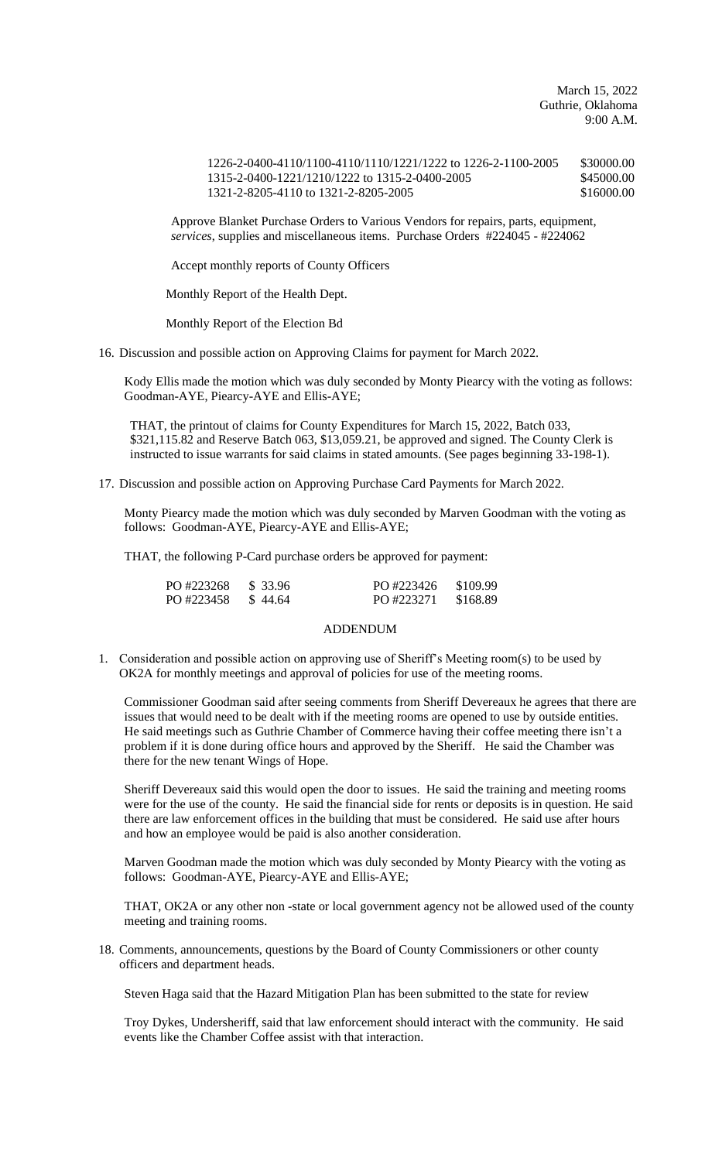March 15, 2022 Guthrie, Oklahoma 9:00 A.M.

1226-2-0400-4110/1100-4110/1110/1221/1222 to 1226-2-1100-2005 \$30000.00 1315-2-0400-1221/1210/1222 to 1315-2-0400-2005 \$45000.00 1321-2-8205-4110 to 1321-2-8205-2005 \$16000.00

Approve Blanket Purchase Orders to Various Vendors for repairs, parts, equipment, *services*, supplies and miscellaneous items. Purchase Orders #224045 - #224062

Accept monthly reports of County Officers

Monthly Report of the Health Dept.

Monthly Report of the Election Bd

16. Discussion and possible action on Approving Claims for payment for March 2022.

Kody Ellis made the motion which was duly seconded by Monty Piearcy with the voting as follows: Goodman-AYE, Piearcy-AYE and Ellis-AYE;

THAT, the printout of claims for County Expenditures for March 15, 2022, Batch 033, \$321,115.82 and Reserve Batch 063, \$13,059.21, be approved and signed. The County Clerk is instructed to issue warrants for said claims in stated amounts. (See pages beginning 33-198-1).

17. Discussion and possible action on Approving Purchase Card Payments for March 2022.

Monty Piearcy made the motion which was duly seconded by Marven Goodman with the voting as follows: Goodman-AYE, Piearcy-AYE and Ellis-AYE;

THAT, the following P-Card purchase orders be approved for payment:

| PO #223268 | \$ 33.96 | PO #223426 | \$109.99 |
|------------|----------|------------|----------|
| PO #223458 | \$44.64  | PO #223271 | \$168.89 |

## ADDENDUM

1. Consideration and possible action on approving use of Sheriff's Meeting room(s) to be used by OK2A for monthly meetings and approval of policies for use of the meeting rooms.

Commissioner Goodman said after seeing comments from Sheriff Devereaux he agrees that there are issues that would need to be dealt with if the meeting rooms are opened to use by outside entities. He said meetings such as Guthrie Chamber of Commerce having their coffee meeting there isn't a problem if it is done during office hours and approved by the Sheriff. He said the Chamber was there for the new tenant Wings of Hope.

Sheriff Devereaux said this would open the door to issues. He said the training and meeting rooms were for the use of the county. He said the financial side for rents or deposits is in question. He said there are law enforcement offices in the building that must be considered. He said use after hours and how an employee would be paid is also another consideration.

Marven Goodman made the motion which was duly seconded by Monty Piearcy with the voting as follows: Goodman-AYE, Piearcy-AYE and Ellis-AYE;

THAT, OK2A or any other non -state or local government agency not be allowed used of the county meeting and training rooms.

18. Comments, announcements, questions by the Board of County Commissioners or other county officers and department heads.

Steven Haga said that the Hazard Mitigation Plan has been submitted to the state for review

Troy Dykes, Undersheriff, said that law enforcement should interact with the community. He said events like the Chamber Coffee assist with that interaction.